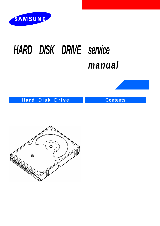

# *HARD DISK DRIVE service manual*



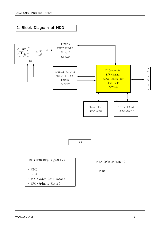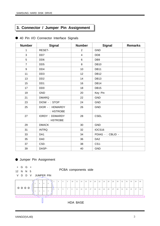## **3. Connector / Jumper Pin Assignment**

| <b>Number</b>  | <b>Signal</b>                      | <b>Number</b>           | <b>Signal</b>     | <b>Remarks</b> |
|----------------|------------------------------------|-------------------------|-------------------|----------------|
| 1              | RESET-                             | $\overline{2}$          | <b>GND</b>        |                |
| 3              | DD <sub>7</sub>                    | $\overline{\mathbf{4}}$ | DD <sub>8</sub>   |                |
| 5              | DD <sub>6</sub>                    | $\,6$                   | DB <sub>9</sub>   |                |
| $\overline{7}$ | DD <sub>5</sub>                    | 8                       | <b>DB10</b>       |                |
| $\mathsf g$    | DD <sub>4</sub>                    | 10                      | <b>DB11</b>       |                |
| 11             | DD <sub>3</sub>                    | 12                      | <b>DB12</b>       |                |
| 13             | DD <sub>2</sub>                    | 14                      | <b>DB13</b>       |                |
| 15             | DD <sub>1</sub>                    | 16                      | <b>DB14</b>       |                |
| 17             | D <sub>D</sub> <sub>0</sub>        | 18                      | <b>DB15</b>       |                |
| 19             | <b>GND</b>                         | 20                      | Key Pin           |                |
| 21             | <b>DMARQ</b>                       | 22                      | <b>GND</b>        |                |
| 23             | DIOW - : STOP                      | 24                      | <b>GND</b>        |                |
| 25             | DIOR -: HDMARDY<br>: HSTROBE       | 26                      | <b>GND</b>        |                |
| 27             | <b>IORDY: DDMARDY</b><br>: HSTROBE | 28                      | <b>CSEL</b>       |                |
| 29             | <b>DMACK</b>                       | 30                      | <b>GND</b>        |                |
| 31             | <b>INTRQ</b>                       | 32                      | IOCS16            |                |
| 33             | DA <sub>1</sub>                    | 34                      | PDIAG - : CBLID - |                |
| 35             | DA0                                | 36                      | DA <sub>2</sub>   |                |
| 37             | CS <sub>0</sub> -                  | 38                      | CS1-              |                |
| 39             | DASP-                              | 40                      | <b>GND</b>        |                |

 $\bullet$  40 Pin I/O Connector Interface Signals

## **Jumper Pin Assignment**

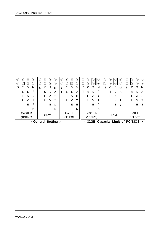|  |    | (1DRIVE)      |   |    |              | <general setting=""></general> |    | <b>SELECT</b> |   |    | (1DRIVE)      | < 32GB Capacity Limit of PC/BIOS > |    |              |    |   | <b>SELECT</b> |                |
|--|----|---------------|---|----|--------------|--------------------------------|----|---------------|---|----|---------------|------------------------------------|----|--------------|----|---|---------------|----------------|
|  |    | <b>MASTER</b> |   |    | <b>SLAVE</b> |                                |    | CABLE         |   |    | <b>MASTER</b> |                                    |    | <b>SLAVE</b> |    |   | <b>CABLE</b>  |                |
|  |    |               | R |    |              | R                              |    |               | R |    |               | R                                  |    |              | R  |   |               | R              |
|  |    | E.            | Е |    | E.           | Е                              |    | E.            | Е |    | E.            | Е                                  |    | E.           | Е  |   |               | E              |
|  |    |               |   |    |              |                                |    |               |   |    |               |                                    |    |              | т  |   |               | Т              |
|  | E. | A             | S | E. | А            | S                              | E. | A             | S | E. | A             | S                                  | E. | A            | -S | Е | А             | S              |
|  | S  |               | A | S  |              | A                              | S  |               | A | S  |               | A                                  | S  |              | A  | S |               | $\overline{A}$ |
|  |    |               |   |    |              |                                |    |               |   |    |               |                                    |    |              |    |   |               |                |

## SAMSUNG HARD DISK DRIVE

-

S T

 $\begin{array}{|c|c|} \hline \textcircled{2} & \textcircled{4} & \textcircled{6} \\ \hline \hline \textcircled{1} & \textcircled{3} & \textcircled{5} \end{array}$ 

C S

 $\circledR$ 

S L  $\boxed{\odot}$ 

M A

-

S T

 $\begin{tabular}{|c|c|c|c|} \hline $\circ$ & $\circ$ & $\circ$ \\ \hline $\circ$ & $\circ$ & $\circ$ \\ \hline $\circ$ & $\circ$ & $\circ$ \\ \hline \end{tabular}$ 

C S

 $^\circledR$ 

S L

 $\boxed{O}$ 

M A

-

S

 $\begin{array}{c|c} 2 & 4 \\ 0 & 3 \\ \hline \end{array}$ 

 $\vec{c}$ 

 $^\circledR$ 

 $\overline{s}$ 

 $\overline{O}$ 

 $(2)$   $(4)$ 

 $\begin{bmatrix} 2 & 4 \\ 9 & 6 \end{bmatrix}$ 

S C S

 $\mathcal{O}$ 

M A -

S T

 $\begin{array}{|c|c|} \hline \textcircled{2} & \textcircled{4} & \textcircled{6} \\ \hline \textcircled{1} & \textcircled{3} & \textcircled{5} \end{array}$ 

C S  $^\circledR$ 

 $\overline{s}$ L

 $\circled{7}$ 

M A

-

S

 $\begin{array}{c|c} 2 & 4 & 6 \\ 0 & 3 & 5 \end{array}$ 

C S E L  $^\circledR$ 

 $\circled{7}$ 

M A S T E R

S L A V E

M A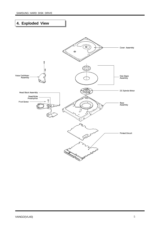# **4. Exploded View**

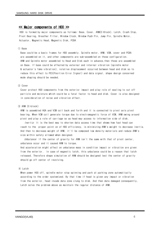## $\leq$  Major components of HDD  $\geq$

HDD is formed by major components as follows: Base, Cover, ARM(E-Block), Latch, Crash Stop, Pivot Bearing, Breather Filter, Window Clock, Window Push Pin, Jump Pin, Spindle Motor, Actuator, Magnetic Head, Magnetic Disk, PCBA

## (1) Base

Base could be a basic frames for HDD assembly. Spindle motor, ARM, VCM, cover and PCBA are assembled on it, and other components are sub-assembled on those configuration. ARM and Spindle motor assembled to Head and Disk each in advance, then those are assembled on Base. If base could be effected by external and internal vibration (spindle motor & actuator's fake vibration), relative displacement occurred between head and disk so to reduce this effect to PES(Position Error Signal) and data signal, shape design concerned mode shaping should be needed.

## (2) Cover

Cover protect HDD components from the exterior impact and play role of sealing to cut off particle and moisture which could be a fatal factor to head and disk. Cover is also designed in consideration of noise and vibration effect.

## $(3)$  ARM  $(E-h | \text{ock})$

ARM is assembled HGA and VCM coil back and forth and it is connected to pivot axis pivot bearing. When VCM coil generate torque due to electromagnetic force of VCM, ARM swing around pivot and play a role of carriage so as head may access to information side of disk.

*Inertia*: It is the best way to shorten data access time that shows how fast head can reach to the proper point on of HDD efficiency, is minimizing ARM's weight to decrease inertia. And then to decrease weight of ARM, it'll be composed low density materials and reduce ARM's size within safety allowed when designed.

Unbalance: If the center of gravity for ARM isn't the same with that of pivot center, unbalance occur and it caused ARM to torque.

And acceleration might affect on unbalance mass in condition impact or vibration are given from the exterior. In case of magnetic latch, this unbalance could be a reason that latch released. Therefore shape simulation of ARM should be designed lest the center of gravity should go off center of revolving.

## 4 Latch

When power HDD off, spindle motor stop spinning and park at parking zone automatically according to the order systemized. By that time if head is given any impact or vibration from the exterior, head invade data zone clung to disk. And then data damaged consequently, Latch solve the problem above as maintain the regular distance of ARM.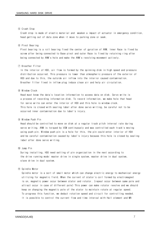### (5) Crash Stop

Crash stop is made of elastic material and weaken a impact of actuator in emergency condition, head getting out of data zone when it move to parking zone or seek.

## 6 Pivot Bearing

Pivot bearing is a roll bearing fixed the center of gyration of ARM. Inner Race is fixed by screw after being connected to Base pivot and outer Race is fixed by retaining ring after being connected by ARM's hole and make the ARM's revolving movement actively.

## 7 Breather Filter

In the interior of HDD, air flow is formed by the spinning disk in high speed and pressure distribution occurred. This pressure is lower than atmospheric pressure of the exterior of HDD and due to this, the outside air inflow into the interior caused contamination. Breather filter fixed in inflow plug induce clean air and help air circulation.

#### 8 Window Clock

Head must know the data's location information to access data on disk. Servo write is a process of recording information disk. To record information, we make hole that head for servo write can enter the interior of HDD and this hole is window clock. This hole is closed with sealing label after done servo writing, be careful not to be occurred inner contamination due to label's injury.

## 9 Window Push Pin

Head should be controlled to move on disk at a regular track pitch interval rate during servo writing. ARM is torqued by VCM continuously and was controlled each track's moving using push pin. Window push pin is a hole for this, the pin could enter interior of HDA and be careful contamination caused by label's injury because this hole is closed by sealing label after done servo writing.

## 10 Jump Pin

During installing, HDD need setting of pin organization in the next according to the drive running mode: master drive in single system, master drive in dual system, slave drive in dual system.

### 11) Spindle Motor

Spindle motor is a sort of small motor which can change electric energy to mechanical energy utilizing for magnetic field. When the current of stator's coil formed by electromagnet is on, magnetic power occur between stator and rotator. (repeal occur between same pole and attract occur in case of different pole) This power can make rotator revolve and we should keep on changing the magnetic pole of the stator to maintain rotate at regular speed. To progress this function, we deduct rotation speed and circuit for controlling needed. It is possible to control the current flow and time interval with Hall element and MR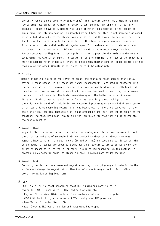element (these are sensitive to voltage change). The magnetic disk of hard disk is running by DC Brushless direct drive motor directly. Brush has long life and high reliability because it doesn't have belt. Recently we use flat motor to be adopted to the request of minimizing. The rotation bearing is supported by ball bearing, this is not keeping high speed spinning but also reducing resistance even eliminating and this make the acceleration better. The life of hard disk is up to the durability of this bearing supporting revolving axis. Spindle motor rotate a disk media at regular speed. This device start to rotate as soon as put power on and no matter what HDD read or write data, spindle motor always revolve. Besides accurate reading from the media point of view is possible when maintain the constant speed within 0.1%,rotation error. The control circuit of spindle motor receive the index data from the spindle motor or media at every spin and check whether constant speed persists or not then revise the speed. Spindle motor is applied to DC brushless motor.

#### (12) Actuator

Hard disk has 2 disks so it has 4 written sides, and each side needs each written replay device, 8 heads needed. This 4 heads can't work independently. Each head is connected with one carriage and set as running altogether. For example, one head move at tenth track and then the rest come to move at the same track. Retrieval(information searching) is a moving the head to track properly. The faster searching speed, the better for a quick access. It is profitable to use voice coil motor for a fast searching speed. Making narrow the width and interval of track is for HDD capacity improvement so we can build more tracks on written side so searching movements in head become subtle. Therefore servo control the decision of HDD location. Magnetic disk is put standard signal for location marking from the manufacturing step. Head read this to find the relative difference then run motor mediate the head's location

## (13) Magnetic Head

Magnetic field is formed around the conduct on passing electric current to conductor and the direction and size of magnetic field are decided by those of an electric current. Magnetic head build a minute gap in core (formed by ring) and pass an electric current then strong magnetic leakage are occurred around gap thus magnetic particles of media vary the direction according to the that of current: this is called recording. On the contrary, a process induce magnetic signal to electric signal is called reading(decipherment).

14 Magnetic Disk

Recording carrier become a permanent magnet according to applying magnetic material to the surface and change the magnetization direction of a electromagnet and it is possible to store information during long term.

## (15) PCBA

PCBA is a circuit element concerning about HDD running and constructed in engine IC, COMBO IC, read/write IC, ROM , and sort of chip etc.

- Engine IC: contained RAM&Interface IC and exchange information to computer.
- COMBO IC: Controlling spindle motor & VCM running when HDD power on.
- Read/Write IC: read/write of HDD
- ROM: Checking HDD basic function and management basic spec.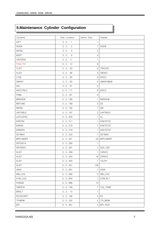## 5. Maintenance Cylinder Configuration

| Contents         | Disk Location           | Sector Size    | Header          |
|------------------|-------------------------|----------------|-----------------|
| <b>IDFY</b>      | 0, 0,<br>$\overline{1}$ | $\mathbf{1}$   |                 |
| <b>SKEW</b>      | 0, 0,<br>$\overline{c}$ | $\mathbf{1}$   | <b>SKEW</b>     |
| <b>SNTBL</b>     | 0, 0,<br>3              | $\mathbf{2}$   |                 |
| <b>BISPT</b>     | 0, 0,<br>5              | $\overline{4}$ |                 |
| CRITERIA         | 0, 0, 11                | $\mathbf{1}$   |                 |
| <b>FINALTST</b>  | 0, 0, 12                | 8              |                 |
| <b>TLIST</b>     | 0, 0, 30                | $\overline{c}$ | <b>TRACKS</b>   |
| <b>ALIST</b>     | 0, 0, 66                | 5              | (REAS)          |
| <b>CTBL</b>      | 0, 0, 80                | 8              | ARCO            |
| SMART            | 0, 0, 90                | 6              | SMARTMEM        |
| SEL              | 0, 0, 91                | $\mathbf{2}$   |                 |
| ARCOTBL2         | 0, 0, 171               | 8              | ARCO            |
| PRML             | 0, 0, 181               | 8              |                 |
| <b>MRSKEW</b>    | 0, 0, 189               | $\mathbf{1}$   | <b>MRSKEW</b>   |
| <b>MRTUNE</b>    | 0, 0, 189               | 3              | SS              |
| SMTBL            | 0, 0, 192               | $\mathbf{1}$   | SM              |
| <b>UNITABLE</b>  | 0, 0, 197               | $\mathbf{2}$   | <b>UNITABLE</b> |
| LATCHFRC         | 0, 0, 205               | $\mathbf{1}$   | <b>SL</b>       |
| <b>ERRTRK</b>    | 0, 0, 217               | 1              | <b>ERATETST</b> |
| <b>ERRZN</b>     | 0, 0, 218               | $\mathbf{1}$   | <b>ERATETST</b> |
| <b>ERRDRV</b>    | 0, 0, 219               | -1             | <b>ERATETST</b> |
| <b>SETMAX</b>    | 0, 0, 233               | $\mathbf{1}$   | <b>SETMAX</b>   |
| MRTUNEMT         | 0, 0, 251               | 24             | <b>MRTUNEMT</b> |
| SRTDATA          | 0, 0, 280               | $\mathbf{1}$   |                 |
| SRTSRVO          | 0, 0, 281               | 1              | SDF_CNT         |
| <b>VLIST</b>     | 0, 0, 299               | 1              | [SRVO]          |
| <b>VLIST</b>     | 0, 0, 300               |                | 16 [SRVO]       |
| <b>SLIST</b>     | 0, 0, 400               | $\mathbf{1}$   | $<$ SLIP>       |
| <b>SLIST</b>     | 0, 0, 401               | 128            |                 |
| GAIN             | 0, 0, 691               | $\mathbf{1}$   | GAIN            |
| WB_LOG           | 0, 0, 692               | $2^{\circ}$    | WB_LOG          |
| ATW_LOG          | 0, 0, 694               | $\mathbf{1}$   | ATW_RLT         |
| PARAM            | 0, 0, 696               | $10$           |                 |
| TMPRTR           | 0, 0, 746               | 1              | CAL_TEMP        |
| <b>BRSLT</b>     | 0, 0, 10                | $\mathbf{1}$   |                 |
| <b>RCOSCRIPT</b> | 0, 0, 156               | 4              | R <sub>2</sub>  |
| <b>TPIWRW</b>    | 0, 0, 332               | 4              | TPI_WRW         |
| <b>BPI</b>       | 0, 0, 351               | $\overline{4}$ | <b>BPI_TEST</b> |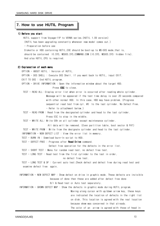## 7. How to use HUTIL Program

## 1) Before you start

HUTIL support from Voyager11P to VERNA series. (HUTIL 1.09 version) (HUTIL has been upgrading constantly whenever new model comes out.) - Preparation before use Diskette or HDD containing HUTIL.EXE should be boot-up to MS-DOS mode, that is, should be contained 10.SYS. MSDOS.SYS.COMMAND.COM (10.SYS. MSDOS.SYS: hidden file). And also HUTIL.CFG is required.

## 2) Explanation of each menu

OPTION - ABOUT HUTIL : Version of HUTIL.

OPTION - DOS SHELL: Execute DOS Shell. If you want back to HUTIL, input EXIT.

EXIT TO DOS : End HUTIL program.

OPTION - DRIVE INFORMATION: Open the information window about the target HDD.

Press ESC to close.

TEST - READ ALL: Display error list when error is occurred after reading whole cylinder.

Message will be appeared if the test time delay is over 20 seconds compared with other normal HDD. In this case, HDD may have problem. (Progress sequential read test from cyl. #0 to the last cylinder. No Defect Free. - Refer to attachment below.)

TEST - READ FROM: Read from the designated cylinder and head to the last cylinder. Press ESC to stop in the middle.

TEST - WRITE ALL: Write 00h on all cylinder except maintenance cylinder.

All data will be removed. (Even partition table, boot sector & FAT) TEST - WRITE FROM: Write from the designate cylinder and head to the last cylinder. INFORMATION - NEW DEFECT LIST : View the error list in memory.

TEST - BURN IN: Download burn-In script to HDD.

TEST - DEFECT FREE : Progress after **Read Drive** command.

Defect free operation for the defects in the error list.

TEST - SHORT TEST: Menu for random read test, no defect free test.

TEST - LONG TEST : Read test from the first cylinder to the last in order,

no defect free test.

TEST - LONG TEST & DF : Current auto test. Check defect and defect free during read test and examine defect free again.

INFORMATION - NEW DEFECT MAP: Show defect on drive in graphic mode. These defects are invisible because of done then these are added after defect free done

B/I & Read test or Auto test separately.

INFORMATION - GROWN DEFECT MAP: Show the defects in graphic mode during HUTIL program.

Moving along cursor with up/down arrow key, these keys are indicated the location of defects in the right list on disk. This location is agreed with the real location because skew was concerned in that already.

The color of an arrow is agreed with those of head in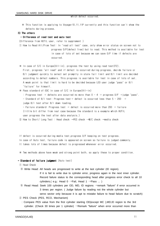$*$  This function is applying to Voyager10,11,11P currently and this function can't show the inis function is applyi<br>defects during process.

## 3) The others

## - Difference of read test and auto test

- U**ltierence of read test and auto test**<br>ifference from HUTIL user, refer to supplement )
- (DITTerence from HUTIL user, refer to supplement )<br>① How to Read All/From Test: In "read all test" case, only show error status on screen not to est. In tead all test case, only snow error status on screen not to<br>progress D/F(defect free) but to read. This method is available for test progress D/F(defect free) but to read. InIs method is available fo<br>in case of lots of set because we can save D/F time if defects are occurred

 $*$  In case of S/C in Europe(All-in), progress the test by using read test(F2).

in case of S/C in Europe(Ail-In), progress the test by using read test(FZ).<br>First, progress "all read" and if defect is occurred during progress, decide failure or rirst, progress- all read- and it detect is occurred during progress, decide tallure or<br>B/I judgment quickly to select set promptly in state fail limit and B/I limit are decided B/I juagment quickly to select set promptly in state fail limit and B/I limit are declae<br>according to defect numbers. This progress is available for test in case of lots of set. according to defect numbers. Inis progress is available for test in case of lots of s<br>A weak point is that limit is hard to be decided because LED user judge "pass" or B/I A weak point is that i<br>"failure" for himself.

- railure for nimself.<br>Kennes in case of S/C in Europe(All-in) & Pass standard of EDC in case of S/C in Europe(All-in)
	- $r$ ass standard of EDC in case of S/C in Europe(ATT-In)<br>: Progress test  $\Rightarrow$  defects are occurred no more than 0 ~ 4  $\Rightarrow$  progress D/F  $\Rightarrow$ judge "pass".
	- . Progress test  $\Rightarrow$  detects are occurred no more than 0 ~ 4  $\Rightarrow$  progress D/F  $\Rightarrow$ Jud<br>- Standard of B/I test: Progress test $\Rightarrow$  defect is occurred less than 5 ~ 200  $\;\Rightarrow$ - standard of B/I test: Progress test=<br>judge B/I test after B/I down loading.
	- ' /1  -.  T 
	  1 + D@@ T 
	1
	- Fallure standard: Progress test  $\Rightarrow$  detect is occurred more than 200  $\Rightarrow$  tallur<br>(little bit differ from real case because the standard is a example which HUTIL (TITTIE DIT differ from real case because th<br>user progress the test after data analysis.)
- user progress the test after data analysis.)<br>2) How to Short/ Long Test : Head check  $\rightarrow$ PES check  $\rightarrow$ M/C check  $\rightarrow$ media check
- reprendent is occurred during media test, progress D/F keeping on test progress.<br>If defect is occurred during media test, progress D/F keeping on test progress.
- r defect is occurred during media test,progress b/F keeping on test progress.<br>In case of Auto test, failure code is appeared on screen so failure is judged commonly.
- in case of Auto test, failure code is appeared on screen so failure is judge<br>It takes lots of times because defect is progressed whenever error occurred.

 $*$  Two methods above have weak and strong point both, so apply these to proper condition.

## - Standard of failure judgment (Auto test)

**Standard of**<br>① Head Check

Write Head: All heads are progressed to write at the last cylinder (ID region).

If it is fail to write due to cylinder error, progress again in the next inner cylinder. Record failure status to the corresponding head after progress error check to all 10 cylinders.( e.g.: Head  $0 \rightarrow$ Fail, Head 1  $\rightarrow$ Pass ... )

- $\odot$  Read Head: Seek 100 cylinders per OD, MD, ID regions  $\rightarrow$  remark "failure" if error occurred in 3 times per region. ( Judge failure by reading not the whole cylinder but servo sector only because it is apt to mistake failure to head failure due to scratch)
- 2 PES Check (PES, RCO, Mechanism)
- : Compare PES value from the first cylinder starting OD(except MC ),MD,ID region to the 3rd cylinder. (Check 30 times per 1 cylinder)  $\rightarrow$ Remark "failure" when error occurred more than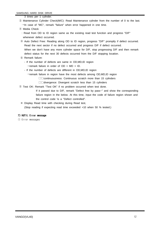3 times per 1 cylinder.

- 3 Maintenance Cylinder Check(M/C): Read Maintenance cylinder from the number of 0 to the last.  $\rightarrow$ In case of "MC", remark "failure" when error happened in one time.
- (4) Media Check
	- : Read from OD to ID region same as the existing read test function and progress "D/F" whenever defect occurred.
- Auto Defect Free: Reading along OD to ID region, progress "D/F" promptly if defect occurred. Read the next sector if no defect occurred and progress D/F if defect occurred. When we don't have any more cylinder space for D/F, stop progressing D/F and then remark defect status for the next 30 defects occurred from the D/F stopping location.
- Remark failure:
	- If the number of defects are same in OD,MD,ID region
	- $\rightarrow$ remark failure in order of OD > MD > ID.
	- If the number of defects are different in OD,MD,ID region
		- remark failure in region have the most defects among OD,MD,ID region
			- $\Box$  Continuousness: Continuous scratch more than 15 cylinders
			- □□divergence: Divergent scratch less than 15 cylinders
- Test OK: Remark "Test OK" if no problem occurred when test done.
	- If it passed due to D/F, remark "Defect free by pass~" and show the corresponding failure region in the below. At this time, input the code of failure region shown and the control code 'is a "Defect controlled".
	- Display Read time with checking during Read test, (Stop reading if expecting read time exceeded +10 when 50 % tested.)

## 7) HUTIL Error message

1) Error messages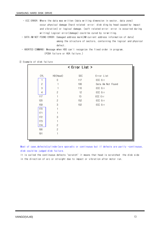- ECC ERROR: Where the data was written (data writing dimension in sector, data zone) occur physical damage (hard related error: disk ding by head caused by impact and vibration) or logical damage. (soft related error: error is occurred during writing) Logical error(damage) could be cured by re-writing.

- DATA AM NOT FOUND ERROR: Damaged address mark(AM:current address information of data) among the structure of sectors, containing the logical and physical defect.

- ABORTED COMMAND: Message when HDD can't recognize the fixed order in program. (PCBA failure or HDA failure.)

2 Example of disk failure

|                |                | < Error List > |                   |
|----------------|----------------|----------------|-------------------|
| CYL            | HD(Head)       | SEC            | Error List        |
|                | $\mathbf 0$    | 117            | ECC Err           |
| $\mathbf{2}$   |                | 106            | Data Am Not Found |
| $\mathfrak{S}$ |                | 110            | ECC Err           |
| $\overline{4}$ | $\overline{2}$ | 12             | ECC Err           |
| 117            |                | 13             | ECC Err           |
| 120            | $\overline{2}$ | 152            | ECC Err           |
| 159            | 3              | 102            | ECC Err           |
| 170            |                |                |                   |
| 171            |                |                |                   |
| 172            | 3              |                |                   |
| 173            |                |                |                   |
| 174            | $\overline{2}$ |                |                   |
| 190            | $\overline{2}$ |                |                   |
| 191            |                |                |                   |
|                |                |                |                   |

Most of case, defects (cylinder) are sporadic or continuous but if defects are partly -continuous, disk could be judged disk failure.

It is called the continuous defects "scratch" it means that head is scratched the disk side in the direction of arc or straight due to impact or vibration after motor run.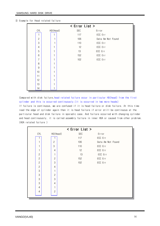|                |          | < Error List > |                   |
|----------------|----------|----------------|-------------------|
| CYL            | HD(Head) | SEC            | Error             |
|                |          | 117            | ECC Err           |
| $\overline{c}$ |          | 106            | Data Am Not Found |
| 3              |          | 110            | ECC Err           |
| $\overline{4}$ |          | 12             | ECC Err           |
| 5              |          | 13             | ECC Err           |
| 6              |          | 152            | ECC Err           |
| $\overline{7}$ |          | 102            | ECC Err           |
| 8              |          |                |                   |
| 9              |          |                |                   |
| 10             |          |                |                   |
| 11             |          |                |                   |
| 12             |          |                |                   |
| 13             |          |                |                   |
| 14             |          |                |                   |

③ Example for Head related failure

.<br>Compared with disk failure,head related failure occur in particular HD(head) from the first compared with disk failure,nead related failure occur in particular HD(nead)<br>cylinder and this is occurred continuously.(it is occurred in two more heads)

cylinder and this is occurred continuously.(It is occurred in two more neads)<br>If failure is continuous, we are confused if it is head failure or disk failure. At this time It failure is continuous, we are confused if it is head failure or disk failure. At this ti<br>read the edge of cylinder again then it is head failure if error still be continuous at the read the edge of cyllnder again then it is head failure if error still be continuous at the<br>particular head and disk failure in sporadic case. And failure occurred with changing cylinder particular nead and disk fallure in sporadic case. And fallure occurred with changing cylinder<br>and head continuously, it is called assembly failure in inner HDA or caused from other problem. nead continuously,<br>A related failure )

|                |                | < Error List > |                   |
|----------------|----------------|----------------|-------------------|
| CYL            | HD(Head)       | <b>SEC</b>     | Error             |
|                |                | 117            | ECC Err           |
| 1              | $\mathbf{2}$   | 106            | Data Am Not Found |
| 1              | 3              | 110            | ECC Err           |
| 1              | 4              | 12             | ECC Err           |
| $\overline{c}$ |                | 13             | ECC Err           |
| $\overline{c}$ | $\overline{c}$ | 152            | ECC Err           |
| $\overline{c}$ | 3              | 102            | ECC Err           |
| $\mathbf{2}$   | 4              |                |                   |
| $\mathfrak{B}$ |                |                |                   |
| $\mathfrak{B}$ | $\overline{c}$ |                |                   |
| $\mathfrak{B}$ | 3              |                |                   |
| 3              | 4              |                |                   |
| 4              |                |                |                   |
| 4              | $\mathbf{2}$   |                |                   |
|                |                |                |                   |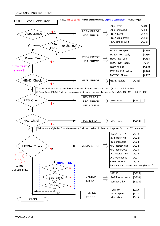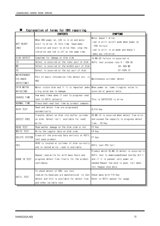|                                                      | <b>CONTENTS</b>                                                                                                                                                                 | <b>SYMPTOMS</b>                                                                                                                                                                                           |
|------------------------------------------------------|---------------------------------------------------------------------------------------------------------------------------------------------------------------------------------|-----------------------------------------------------------------------------------------------------------------------------------------------------------------------------------------------------------|
| NOT READY<br>(NR)                                    | When HDD power on, LED is in on and motor<br>start to drive. At this time head make<br>vibration and start to drive then stop the<br>vibration and led is off at the same time. | Motor doesn't drive.<br>Led is still on/off mode when power on<br>: PCB failure<br>Led is still in on mode and doesn't<br>make any vibration.                                                             |
| DISK DEFECT                                          | Symptoms for damage at disk side                                                                                                                                                | ID, MD, OD failure is occurred in                                                                                                                                                                         |
| $ 0\rangle$                                          | Defect is occurred at the inner part of disk                                                                                                                                    | HUTIL test process rate $0 \sim 33\%$ OD                                                                                                                                                                  |
| <b>MD</b>                                            | Defect is occurred at the middle part of disk                                                                                                                                   | $34 - 66%$ MD                                                                                                                                                                                             |
| 0 <sub>0</sub>                                       | Defect is occurred at the out part of disk                                                                                                                                      | 67~100% ID                                                                                                                                                                                                |
| <b>MAINTENANCE</b><br><b>CYLINDER</b><br>DEFECT (MC) | Part of basic information like defect etc. in<br><b>HDD</b>                                                                                                                     | Maintenance cylinder defect                                                                                                                                                                               |
| SPIN MOTOR                                           | Motor rotate disk and if it is impacted , make                                                                                                                                  | When power on, some irregular noise is                                                                                                                                                                    |
| NOISE(SM)                                            | a big noise due to damage.                                                                                                                                                      | occurred at general motor.                                                                                                                                                                                |
| ERASED TIME                                          | how many times does it cost to progress read<br>test in HUTIL actually                                                                                                          | This is SUFFECTED in drive                                                                                                                                                                                |
| NORMAL TIME                                          | Prescribed read test time by product company.                                                                                                                                   |                                                                                                                                                                                                           |
| AUTO TEST                                            | Read and defect free are progressed<br>automatically.                                                                                                                           | ALT+A Key                                                                                                                                                                                                 |
| DEFECT FREE                                          | Transfer defect on disk into buffer cylinder<br>on disk. Defect isn't available for read/<br>write                                                                              | OD, MD, ID is occurred when defect free error<br>and exceed the capacity to progress defect<br>free. F6 Key                                                                                               |
| <b>READ TEST</b>                                     | Read wether damage on the disk side or not                                                                                                                                      | F <sub>2</sub> Key                                                                                                                                                                                        |
| WRITE TEST                                           | Write the regular data on disk side.                                                                                                                                            | F4 Key                                                                                                                                                                                                    |
| DELETE SYSTEM                                        | Erase all the previous Data entirely at HUTIL<br>test pass product.                                                                                                             | F7 Key                                                                                                                                                                                                    |
| PES                                                  | HEAD is located at cylinder of disk correctly<br>and is tested write , read is available.                                                                                       | HUTIL test PES fail                                                                                                                                                                                       |
| <b>BURN IN TEST</b>                                  | Repeat read, write for with many hours and<br>progress defect free finally for the product<br>confidence.                                                                       | Product which CD,MD, ID defect is occurred in<br>HUTIL test is downloaded(head test)by ALT-I<br>and if it is passed, only power on<br>needed.Repeat led once is pass, fail when<br>fail happen once more. |
| HUTIL TEST                                           | To check defect of HDD, svc tool,<br>read, write, head, pes are manufactured to test<br>defect and this is available for defect free<br>and other variable test.                | Check menu with F10 Key.<br>Refer to HUTIL manual for usage                                                                                                                                               |

## **※** Explanation of terms for HDD repairing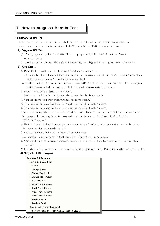## **7. How to progress Burn-In Test**

#### 1) Summary of B/I Test

Progress defect detection and reliability test of HDD according to program written in rrogress detect detection and reliability test of HDD according to program wri<br>maintenance/cylinder in temperature 40±5℃, humidity 50±10% stress condition.

## 2) Progress B/I Test

- ① After progressing Hutil and GEMINI test, progress B/I if small defect or format error occurred.
- $\circled{2}$  A way of detection for HDD defect by reading/ writing the existing written information.

## 3) Flow sheet.

 $\bigcirc$  Down load if small defect like mentioned above occurred.

(Be sure to check download before progress  $B/I$  program. Led off if there is no program down loaded or maintenance/cylinder is unreadable.)

- roaded or maintenance/cylinder is unreadable.*)*<br>a) As Main and B/I Firmware are separate from VG11/VG11+ series, progress test after changing @ as main and b/i Firmware are separate from vull/vull+ series, progres<br>to B/I Firmware before test.( if B/I finished, change main firmware.)
- $(2)$  Check appearance & jumper pin status.

 $(B/I$  test is Led off if jumper pin connection is incorrect.)

- $\circled{3}$  Connect drive to power supply.(same as drive ready.)
- $\Phi$  If drive is progressing burn-in regularly, led blink after ready.
- $\circ$  If drive is progressing burn-in irregularly, led off after ready.
- (Led Off or ready state if the initial state isn't burn-in low or cont-in flow when we check  $B/I$  program by loading burn-in program: written by how to  $B/I$  flow, SETC 0, SETH 0,

SETS 5, (M/C region)

- 6 Mark failure and Led frequency appear when lots of defects are occurred or error in drive is occurred during burn-in test.)
- $\circled{?}$  Led is repeated one time if pass after done test.

(Be cautious because burn-in test time is different by every model)

- $\circledast$  Write end-in flow on maintenance/cylinder if pass after done test and write fail-in flow in fail case.
- $\circledR$  Led blank after write the test result. Pass: repeat one time. Fail: the number of error code.
- 4) Subject of B/I Program

| Progress B/I Program                                         |
|--------------------------------------------------------------|
| - Main order: LED Bilnk                                      |
| : Format                                                     |
| : Change Pattern                                             |
| : Change Sivel Label                                         |
| : Change Retry Count                                         |
| : ECC ON/OFF                                                 |
| : Read Track Reverse                                         |
| : Read Track Forward                                         |
| : Write Track Forward                                        |
| : Write Track Reverse                                        |
| : Random Write                                               |
| : Random Read                                                |
| Record M/C if error happened<br>$\qquad \qquad \blacksquare$ |
| : recording location - from CYL 1, Head 0 SEC 1              |
|                                                              |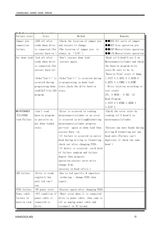| Failure state      | State                        | Method                              | Remarks                          |
|--------------------|------------------------------|-------------------------------------|----------------------------------|
| Jumper pin         | -LED off after               | -Check the location of jumper pin   | ●●DXX:All sorts of jumper        |
| connection         | ready when drive             | and execute to change.              | ●●DCF:Size operation pin         |
| failure            | is connected. (Not           | (The location of jumper pin is      | ●●DSP:Master/slave operation     |
|                    | execute burn-in)             | always in $"$ -C/D".                | ●●C/D:Master/slave operation     |
|                    | Not down load -Led off after | -Don't execute down load            | $-$ Read cyl:0, head:0, sec:5 on |
|                    | ready when drive             | : execute again.                    | Maintenance/cylinder and check   |
|                    | is connected. (Not           |                                     | the burn-in program write        |
|                    | execute burn-in)             |                                     | state.Be sure to be in           |
|                    |                              |                                     | "Burn-in Flow" state if dump.    |
|                    | -Order"Can't~" is            | -Order"Can't~" is occurred during   | 1. INIT 0 2. SETC 0 3. SETH 0    |
|                    | occurred during              | re-progressing in down load         | 4. SETS 5 5. PHRD 1 6. DUMP      |
|                    | progressing down             | state, check the drive burn-in      | - Write location according to    |
|                    | load(ALT-I) in LEO           | state.                              | test result                      |
|                    | program.                     |                                     | $CYL: 0$ HEAD : 0 SEC : 12       |
|                    |                              |                                     | Read Program                     |
|                    |                              |                                     | 1. INIT 0 2. RTRK 3. ADDH 1      |
|                    |                              |                                     | 4.JLUP 2                         |
| <b>MAINTENANCE</b> | -Can't read                  | -Error is occurred in reading       | -Check the error state by        |
| /CYLINDER          | burn-in program              | maintenance/cylinder or no error    | reading cyl:0 head:0 in          |
| read Failure       | so perceive as               | is occurred in writing&formatting   | maintenance/cylinder.            |
|                    | not down loaded              | maintenance/cylinder, progress      |                                  |
|                    | state.                       | pre-test again or down load then    | -Execute one more heads during   |
|                    |                              | execute Burn -in.                   | writing & formatting not one     |
|                    |                              | -If failure is occurred in entire   | head only. (Failure can't        |
|                    |                              | head during writing or formatting   | duplicate if check the same      |
|                    |                              | check out after changing PCBA.      | head )                           |
|                    |                              | -If defect is occurred, catch hold  |                                  |
|                    |                              | of failure symptom and failure      |                                  |
|                    |                              | degree then progress                |                                  |
|                    |                              | operation, execute servo write      |                                  |
|                    |                              | change disk.                        |                                  |
|                    |                              | (process in head office.)           |                                  |
| LED failure        | -Drive is ready              | -Due to led specific $&$ imperfect  |                                  |
|                    | regularly but                | soldering - change PCBA then        |                                  |
|                    | only led can't               | repair.                             |                                  |
|                    | run.                         |                                     |                                  |
| PCBA failure       | -NO power state              | -Execute again after changing PCBA. |                                  |
| Power cable        | $-0$ ff condition if         | -Short occur when it is connected   |                                  |
| failure in         | power cable is               | drive to power cable, then come to  |                                  |
| burn-in rack       | connected to                 | off so unplug power cable and       |                                  |
|                    | drive.                       | reconnect in 30 second.             |                                  |

Т.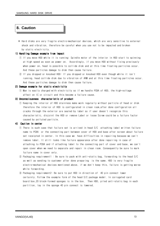## 8. Caution

\* Hard disks are very fragile electro-mechanical devices, which are very sensitive to external shock and vibration, therefore be careful when you use not to be impacted and broken by static electricity.

## 1) Handling Damage example from impact

- 1) If you move HDD while it is running: Spindle motor of the interior in HDD start to spinning at high speed as soon as power on. Accordingly, if you move HDD without fixing previously when power on, head is possible to collide disk and at this time floating particles occur. And these particles damage to disk then cause failure.
- 2) If you dropped or knocked HDD: If you dropped or knocked HDD even though while it isn't running, head collide disk due to vibration of ARM and at this time floating particles occur. And these particles damage to disk then cause failure.

## 2) Damage example for static electricity

① Man is easily charged with electricity so if we handle PCBA of HDD, the high-voltage affect on IC or circuit and this become a failure cause.

## 3) Unconsciousness characteristic of product

① Keeping the interior of HDD stainless make work regularly without particle of head or disk therefore the interior of HDD is configurated in clean room, after done configuration all cracks through the exterior are sealed by label so if user doesn't recognize this characteristic, disjoint the HDD or remove Label or loose Screw could be a failure factor caused by polluted particle.

## 4) Caution in center

- ① There is such case that failure set is arrived in head S/C attaching label written failure name to PCBA or the connecting part between cover of HDD and base after screen about failure set receipted in center. In this case we have difficulties in repairing because we can't remove label. It still looks like failure appearance after done repairing in case of attaching to PCBA and if attaching label to the connecting part of cover and base, we can't open cover when we need to separate and repair in clean room. Consequently be sure to mark failure name in cover only.
- 2) Packaging requirement1: Be sure to pack with anti-static bag, forwarding to the head S/C as well as sending to customer after done preparing is the same. HDD is very fragile electro-mechanical devices mentioned above, if we don't keep this, failure is getting worse while forwarding.
- 3 Packaging requirement2: Be sure to put HDD in direction of 40 pin connect lower certainly. Follow the example form of the head S/C package model. In corrugated card board box,20 block-formed sponges is in the box. Then HDD, piled anti-static bag in each partition, lay in the sponge 40 pin connect is lowered.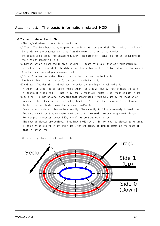## **Attachment 1. The basic information related HDD**

## $*$  The basic information of HDD

ine basic information of HDD<br>1) The logical elements constituted hard disk

- **)** ine logical elements constituted nard disk<br>① Track: The data inputted by computer was written at tracks on disk. The tracks, in spite of  $\cup$  rrack: the data inputted by computer was written at tracks on disk. The tracks of the tracks of the tracks of the concentric circles from the center of disk to the outside.
- invisible,are the concentric circles from the center of disk to the outside.<br>The tracks are divided into spaces regularly. The number of tracks is different according to ine tracks are divided into sp<br>the size and capacity of disk.
- the size and capacity of disk.<br>② Sector: Data are recorded in track on disk, it means data is written on tracks which is wector: Data are recorded in track on disk, it means data is written on tracks which is<br>divided into sector on disk. The data is written on tracks which is divided into sector on disk. aivided into sector on disk. The data is w<br>A sector is a piece of pizza,naming track.
- A sector is a piece of pizza,naming track.<br>③ Side: Disk has two sides like a coin has the front and the back side.

g) sloe. Disk has two sloes like a coin has the front and the  $\overline{z}$ . The front side of disk is side 0, the back is called side 1.

e front side of disk is side U, the back is called side I.<br>Cylinder: The definition of cylinder is added the meaning of track and side.

- Uylinder, the definition of cylinder is added the meaning of track and side.<br>A track 1 on side 1 is different from a track 1 on side 2. But cylinder 0 means the both A track I on side I is different from a track I on side 2. But cylinder 0 means the both<br>of tracks in side o and 1. That is cylinder 0 means all number 0 of tracks on both sides. or tracks in side o and i. Inat is cylinder U means all inumber U or tracks on both isld<br>6 Cluster: Disk has physical mechanism that constituted track (divided by the location of

cluster. Disk has physical mechanism that constituted track (divided by the location of<br>read/write head ) and sector (divided by track). It's a fact that there is a real logical read/write nead ) and sector (divided by track). It s<br>factor, that is cluster, make the data can read/write.

ractor, tnat is cluster, make tne data can read/write.<br>One cluster consists of two sectors usually. The capacity is 2 Kbyte commonly in hard disk. une cluster consists of two sectors usually. The capacity is 2 Kbyte commonly in hard dis<br>But we are cautious that no matter what the data is so small,use one independent cluster. but we are cautious tnat no matter what tne data is so small,use one<br>For example, a cluster occupy 1 Kbyte can't written any other files.

For example, a cluster occupy i wbyte can t written any otner files.<br>The rest of cluster are useless. If we have 1,025 Kbyte file, we need two cluster to written. ine rest of cluster are useless. If we have 1,025 kbyte file, we need two cluster to writt<br>If the size of cluster is getting bigger, the efficiency of disk is lower but the speed of it the size of clust<br>that is faster than.

k<br>Fefer to picture - Track,Sector,Side

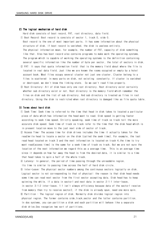## 2) The logical mechanism of hard disk

Hard disk consists of boot record, FAT, root directory, data field.

- (1) Boot Record: Boot record is consists of sector 1, track 0, side 0. Boot record is the one of most important parts. It has some information about the physical structure of disk. If boot record is vanished, the disk is useless entirely. The physical information mean, for example, the number of FAT, capacity of disk something like that. Also has boot record also contains programs to make work the operating systems. The program which is capable of working the operating systems is the definition containing several specific information like the number of byte per sector, the total of sectors in disk.
- ② FAT: It says that quota information field: that is the memory field about where the file is located in real data field. Just like we are known the rooms occupied or empty by a hotel account book. Most files occupy several cluster not just one cluster. Cluster belong to a files is scattered in many parts on disk, not existing constantly. If cluster is vanished or destroyed, we don't know the linking state. So we can't read files properly.
- 3 Root Directory: All of disk have only one root directory. Root directory exist certainly whether sub directory exist or not. Root directory is the memory field which remember the files on disk and the list of sub directory. And sub directory is treated as files in root directory. Using the disk is restricted when root directory is damaged like as file quota table.

#### 3) Terms about hard disk

- 1) Seek Time: Seek time is referred to the time that head in disk takes to located a particular piece of data which has information the head want to read. Disk speed is getting faster according to seek time speed. Strictly speaking, seek time of track vs track tell the more accurate disk speed. Seek time of track vs track refer to the time that the disk head which is in present location move to the just next side of sector of track.
- 2 Access Time: The access time for disk drives includes the time it actually takes for the read/write head to locate a sector on the disk (called the seek time). For example, the last read head located on track 3 and the next information is located on track 4, the time to try want read(access time) is the same for a seek time of track vs track. But we are not sure the location of the next information we regard this as a average time. This is an average time since it depends on how far away the head is from the desired data, it is similar to a time that head takes to spin a half of the whole track.
- 4) Latency: In general, the period of time passing through the unreadable region.
- Its time is similar to passing time across the half of hard disk circle.
- (5) Inter-Leave: The physical sector numbers among the continuous sectors logically on disk. Logical sector is not corresponding to that of physical: the reason is that disk head needs some time can read next sector from the first sector accepting data. Disk head has to keep spinning the while. If a data in sector1 and next data in sector 2:1:1 inter-leave, in sector 3:1:2 inter-leave. 1:1 isn't always efficiency because data of the sector1 receive from memory then try to receive sector2, if the disk is already spun, need one more spin. ⑥ Partition : The logical region of disk. Normally disk divides logical region into physical region. The former contains side, track, sector and the latter contains partition. In dos systems, you can partition a disk and each partition will behave like a separate
- disk drive.Dos recognize two sort of partitions.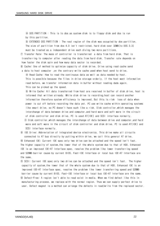4 DOS PARTITION : This is to dos as system disk is to floppy disk and dos is run by this partition.

 $\odot$  EXTENDED DOS PARTITION : The rest region of the disk was occupied by dos partition. The size of partition from dos 4.0 isn't restricted, hard disk over 32MB(to DOS 3.3) must be treated as a independent drive each diving two more partitions.

7) Transfer Rate: The mass of controller is transferred a data from hard disk. That is transferring to computer after reading the data from hard disk. Transfer rate depends on how faster the disk spin and how many data sector is recorded.

8) Cache: One of method to optimize capacity of disk drive. Drive using read cache send a data to host computer, on the contrary write cache used when host send to drive.

a Read Cache: How to read the continuous data as well as data needed by host. This is possible because the files in drive storage orderly. If the host want information read before, we transfer information data in buffer without reading dada again. This can be picked up the speed.

**(b)** Write Cache: All data transferred from host are received in buffer of disk drive, host is informed that written already. While disk drive is recording, host can record another information therefore system efficiency is improved. But this is risk loss of data when power is cut off before recording the data yet. PC use write cache within operating systems like smart drive, so PC doesn't have such like a risk. Disk controller, which manages the interchange of data between drive and computer, and hard ware and soft ware in the circuit of disk controller and disk drive. PC is used AT(IDE) and SCSI interface normally. © Disk controller, which manages the interchange of data between drive and computer, and hard ware and soft ware in the circuit of disk controller and disk drive. PC is used AT(IDE) and SCSI interface normally.

**9** IDE Drive: Abbreviation of Integrated device electronics. This drive make all circuits connected to AT bus directly by putting within drive, we call this general AT drive.

10 Enhanced IDE: Current IDE spec only two drive can be attached and the speed isn't fast. The higher capacity of system, the lower that of the whole system due to that of HDD. Enhanced IDE is an improved IDE-AT Interface spec, resolve the problem like lower transferring speed and 528MB barrier cause by current BIOS. Fast-IDE Interface or local bus IDE-AT Interface are the same.

① SCSI: Current IDE spec only two drive can be attached and the speed isn't fast. The higher capacity of system, the lower that of the whole system due to that of HDD. Enhanced IDE is an improved IDE-AT Interface spec, resolve the problem like lower transferring speed and 528MB barrier cause by current BIOS. Fast-IDE Interface or local bus IDE-AT Interface are the same. ② Defect-Free: A region isn't able to read exist in media. When we find defect like this in manufacturing process, we replace with the normal region. Thus we can supply perfect drive to user. Defect magnet is a method can arrange the defects in read/write from the replaced sector.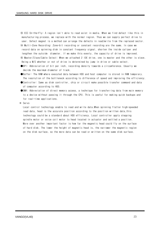⑬ ECC On-the-Fly: A region isn't able to read exist in media. When we find defect like this in manufacturing process, we replace with the normal region. Thus we can supply perfect drive to user. Defect magnet is a method can arrange the defects in read/write from the replaced sector. 14 Multi-Zone Recording: Zone-bit recording or constant recording are the same. In case we record data on spinning disk in constant frequency signal, shorten the inside caliper and lengthen the outside diameter. If we make this evenly, the capacity of drive is improved. (6) Master/Slave/Cable Select: When we attached 2 IDE drive, one is master and the other is slave. Being a M/S whether or not of drive is determined by jump in drive or cable select.

OBPI: Abbreviation of bit per inch, recording density towards a circumference. Usually we decide the maximum diameter of track.

- ●Buffer: The RAM where executed data between HDD and host computer is stored in RAM temporary. The resolution of the bottleneck according to difference of speed and improving the efficiency.
- Controller: Same as disk controller, chip or circuit make possible transfer command and data of computer according to HDD.

●DMA: Abbreviation of direct memory access, a technique for transferring data from main memory to a device without passing it through the CPU. This is useful for making quick backups and for real-time applications.

\* Servo

Local control technology enable to read and write data. When spinning flatter high-speeded read data, head is the accurate position according to the position written data, this technology could be a standard about HDD efficiency. Local controller apply stepping spindle motor or voice coil motor to head located in actuator and settled a position. More over another important factor is how far the magnetic head could fly on the surface of hard disk. The lower the height of magnetic head is, the narrower the magnetic region on the disk surface, so the more data can be read or written on the same disk surface.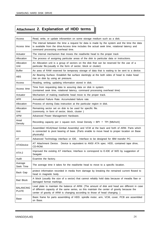# **Attachment 2. Explanation of HDD terms**

| Access                           | Read, write, or update inforamtion on some storage medium such as a disk.                                                                                                                                                                                                   |
|----------------------------------|-----------------------------------------------------------------------------------------------------------------------------------------------------------------------------------------------------------------------------------------------------------------------------|
| Access time                      | The interval between the time a request for data is made by the system and the time the data<br>is available from the drive.Access time includes the actual seek time, rotational latency and<br>command processing overhead time.                                          |
| Actuator                         | The internal mechanism that moves the read/write head to the proper track                                                                                                                                                                                                   |
| Allocation                       | The process of assigning particular areas of the disk to particular data or instructions.                                                                                                                                                                                   |
| Allocation<br>Unit               | An Allocation unit is a group of sectors on the disk that can be reserved for the use of a<br>particular file. (usually in the form of sector, block or cluster)                                                                                                            |
| <b>Buffer</b>                    | An area of RAM reserved for temporary storage of data that is waiting to be sent to a device.                                                                                                                                                                               |
| ABS                              | Air Bearing Surface. Establish flat surface slantingly at the both sides of head to make head<br>rise on disk by using air pressure.                                                                                                                                        |
| Access                           | Reading, writing, updating information stored in disk.                                                                                                                                                                                                                      |
| Access time                      | Time from requesting data to assuring data on disk in system.<br>(contained seek time, rotational latency, command processing overhead time)                                                                                                                                |
| Actuator                         | Mechanism of making read/write head move to the proper track.                                                                                                                                                                                                               |
| <b>AFR</b>                       | Annualized Failure Rate, Accumulated failure rate.                                                                                                                                                                                                                          |
| Allocation                       | Process of storing Data instruction at the particular region in disk.                                                                                                                                                                                                       |
| Allocation<br>Unit               | Remaining sector set on disk to be used for specific file.<br>(commonly, in form of sector, block, cluster)                                                                                                                                                                 |
| <b>APM</b>                       | Advanced Power Management Hardware.                                                                                                                                                                                                                                         |
| Areal<br>Density                 | Recording capacity per 1 square inch. Areal Density = BPI $\times$ TPI [Mb/Inch]                                                                                                                                                                                            |
| Arm                              | Assembled HGA(Head Gimbal Assembly) and VCM at the back and forth of ARM. Parts which<br>is connected to pivot bearing of base. (Parts enable to move head to proper location on Base<br>physically)                                                                        |
| AT                               | Advanced Technology interface or IDE. Interface to be designed for IBM transfer PC.                                                                                                                                                                                         |
| <b>ATADevice</b>                 | AT Attachment Device. Device is equivalent to ANSI ATA spec. HDD, contained tape drive,<br>CD-ROM.                                                                                                                                                                          |
| ATA-2                            | Improved the existing AT interface, Interface is correspond to E-IDE of W/D by suggestion of<br>Seagate                                                                                                                                                                     |
| Audit                            | Examine the factory.                                                                                                                                                                                                                                                        |
| Average<br>Seek Time             | The average time it takes for the read/write head to move to a specific location.                                                                                                                                                                                           |
| Back Gap                         | protect information recorded in media from damage by breaking the remained current flowed to<br>head in magnetic body.                                                                                                                                                      |
| <b>Bad Block</b>                 | A block (usually the size of a sector) that cannot reliably hold data because of meadia flaw or<br>damaged format markings.                                                                                                                                                 |
| <b>BALANCING</b><br><b>PLATE</b> | Lead plate to maintain the balance of ARM. (The amount of disk and head are different in case<br>of different capacity of the same series, so this maintain the center of gravity because the<br>center of gravity of ARM is changing according to those of head changing.) |
| Base                             | Basic frame for parts assembling of HDD. spindle motor, arm, VCM, cover, PCB are assembled<br>on Base.                                                                                                                                                                      |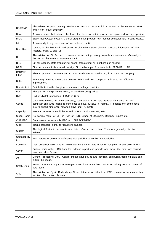| <b>BEARING</b>            | Abbreviation of pivot bearing, Mediator of Arm and Base which is located in the center of ARM<br>and it can rotate smoothly.                                                                                                                     |
|---------------------------|--------------------------------------------------------------------------------------------------------------------------------------------------------------------------------------------------------------------------------------------------|
| Bezel                     | A plastic panel that extends the face of a drive so that it covers a computer's drive bay opening.                                                                                                                                               |
| <b>BIOS</b>               | Basic Input/Output system: Control program/sub-program can control computer and around device.                                                                                                                                                   |
| bit                       | A binary digit may have one of two values-1 or 0                                                                                                                                                                                                 |
| Boot Record               | Located in the first track and sector in disk where store physical structure information of disk.<br>(sector1, track 0, side 0)                                                                                                                  |
| BPI                       | Abbreviation of Bit Per Inch, it means the recording density towards circumference. Generally it<br>decided to the value of maximum track.                                                                                                       |
| <b>BPS</b>                | Bit per second. Data transferring speed, transferring bit numbers per second.                                                                                                                                                                    |
| <b>BPSI</b>               | Bits per square inch = areal density, Bit numbers per 1 square inch, BPSI=BPI x TPI                                                                                                                                                              |
| <b>Breather</b><br>Filter | Filter to prevent contamination occurred inside due to outside air, it is putted on air plug.                                                                                                                                                    |
| <b>Buffer</b>             | Temporary RAM to store data between HDD and host computer, it is used for efficiency<br>improvement.                                                                                                                                             |
| Burn-in test              | Reliability test with changing temperature, voltage condition.                                                                                                                                                                                   |
| <b>Bus</b>                | The part of a chip, circuit board, or interface designed to.                                                                                                                                                                                     |
| <b>Byte</b>               | Unit of digital information. 1 Byte is 8 bit.                                                                                                                                                                                                    |
| Cache                     | Optimizing method for drive efficiency, read cache is for data transfer from drive to host<br>computer and write cache is from host to drive. (256KB in normal. It mediate the bottle-neck<br>due to speed difference between drive and PC host) |
| Capacity                  | Information amount could be stored in HDD. Units are MB, GB                                                                                                                                                                                      |
| Clean Room                | No particle room for MP or RMA of HDD. Grade of 1000ppm, 100ppm, 10ppm etc.                                                                                                                                                                      |
| CLIP-FPC                  | Components to assemble FPC and SUPPORT-FPC.                                                                                                                                                                                                      |
| Clock                     | Timing standard signal to treatment balance.                                                                                                                                                                                                     |
| Cluster                   | The logical factor to read/write real data. One cluster is bind 2 sectors generally, its size is<br>2kbyte.                                                                                                                                      |
| Compatibility<br>test     | Test hardware device or software's compatibility to confirm compatibility.                                                                                                                                                                       |
| Controller                | Disk Controller also, chip or circuit can be transfer data order of computer to available to HDD.                                                                                                                                                |
| Cover                     | Protect parts within HDD from the exterior impact and particle and moist, the fatal fact caused<br>head and disk failure.                                                                                                                        |
| CPU                       | Central Processing Unit. Control input/output device and sending, computing, recording data and<br>output the result.                                                                                                                            |
| Crash Stop                | Protect activator's impact in emergency condition when head move to parking zone or come off<br>data zone.                                                                                                                                       |
| <b>CRC</b>                | Abbreviation of Cyclic Redundancy Code, detect error differ from ECC containing error correcting<br>function. For protect ID data.                                                                                                               |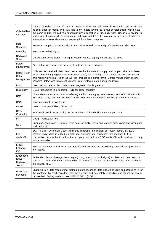| Cylinder/Trac<br>k/Sector                 | Data is recorded on lots of circle in media in HDD, we call these circles track We record data<br>at both sides of media and HDD has many media layers. so it has several tracks which have<br>the same radius, we call this concentric circle collection of track Cylinder. Tracks are divided to<br>sector and it organized ID information and data and ECC. ID information is a sort of address<br>information to seek data sector requested from host computer. |
|-------------------------------------------|---------------------------------------------------------------------------------------------------------------------------------------------------------------------------------------------------------------------------------------------------------------------------------------------------------------------------------------------------------------------------------------------------------------------------------------------------------------------|
| Data<br>Separator                         | Separate complex data/clock signal from HDD stored data/timing information encoded form.                                                                                                                                                                                                                                                                                                                                                                            |
| Decoding                                  | Restore encoded signal.                                                                                                                                                                                                                                                                                                                                                                                                                                             |
| Dedicated<br>Servo                        | Concentrate servo signal (Timing & location control signal) on on side of drive.                                                                                                                                                                                                                                                                                                                                                                                    |
| <b>Defect</b><br>Management               | Find defect and treat data from replaced sector on read/write.                                                                                                                                                                                                                                                                                                                                                                                                      |
| Defect-Free/<br>Defect<br>Management      | HDD vendor received disks from media vendor for smooth supply and proper price and these<br>media has defect( region can't read write data), by scanning defect during production process<br>and replacing normal region so we can product defect-free drive. Defect management means<br>scanning defect and treatment process from replaced data during read/write.                                                                                                |
| <b>Disk</b>                               | Head record data in this circle plate, magnetic disk is general.                                                                                                                                                                                                                                                                                                                                                                                                    |
| Disk array                                | Group assembled the separate HDD for large capacity.                                                                                                                                                                                                                                                                                                                                                                                                                |
| <b>DMA</b>                                | Direct Memory Access, data transferring method among system memory and HDD without CPU.<br>By using DMA, CPU can do other works while data transferring, efficiency become improved.                                                                                                                                                                                                                                                                                |
| <b>DOA</b>                                | dead on arrival, arrival failure.                                                                                                                                                                                                                                                                                                                                                                                                                                   |
| <b>DPPM</b>                               | Defect parts per million, failure unit.                                                                                                                                                                                                                                                                                                                                                                                                                             |
| <b>Drive</b><br>Geometry                  | Functional definition according to the numbers of head, cylinder, sector per track.                                                                                                                                                                                                                                                                                                                                                                                 |
| <b>DVT</b>                                | Design Verification test.                                                                                                                                                                                                                                                                                                                                                                                                                                           |
| ECC                                       | Error correction code. Correct error data, controller scan and correct error combining user data<br>and parity bit.                                                                                                                                                                                                                                                                                                                                                 |
| ECC<br>on-the-Fly                         | ECC is Error Correction Code, Additional recording information per every sector. By ECC<br>creation logic, data is added on disk and checking and correcting with reading. If it is<br>correctable error without read action stopping, we call this ECC on-the-Fly with hardware's<br>help<br>within controller.                                                                                                                                                    |
| E-IDE<br>Enhance<br><b>IDE</b>            | Revised interface in IDE way, new specification to improve the existing method has problem of<br>low speed.                                                                                                                                                                                                                                                                                                                                                         |
| Embedded<br>Servo /<br>Dedicated<br>Servo | Embedded Servo: Arrange servo signal(timing, location control signal) to data and data track in<br>Dedicated Servo: Mechanism of dedicated surface of disk have timing and positioning<br>parallel.<br>information only.                                                                                                                                                                                                                                            |
| Encoding/<br>Decoding                     | Encoding is a data transferring method before recording data pattern to disk and Decoding is on<br>the contrary. To read recorded data more easily and accurately, Encoding and Decoding should<br>be needed. Coding methods are MFM.(2.7)RLL.(1.7)RLL.                                                                                                                                                                                                             |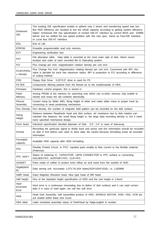| Enhanced<br><b>IDE</b>      | The existing IDE specification enable to adhere only 2 drives and transferring speed was low.<br>But HDD efficiency are resulted to low the whole capacity according to getting system efficiency<br>higher. Enhanced IDE has specification of revised IDE-AT interface by current BIOS and 528Mb<br>barrier and we settled the low speed problem with this new spec. Same as Fast-IDE Interface<br>or Local Bus IDE-AT Interface. |
|-----------------------------|------------------------------------------------------------------------------------------------------------------------------------------------------------------------------------------------------------------------------------------------------------------------------------------------------------------------------------------------------------------------------------------------------------------------------------|
| <b>EOL</b>                  | End of Life.                                                                                                                                                                                                                                                                                                                                                                                                                       |
| <b>EPROM</b>                | Erasable programmable read only memory.                                                                                                                                                                                                                                                                                                                                                                                            |
| <b>EVT</b>                  | Engineering verification test.                                                                                                                                                                                                                                                                                                                                                                                                     |
| <b>FAT</b>                  | File allocation table. Data table is recorded at the most outer side of disk, inform sector<br>location and order of each recorded file to Operating system.                                                                                                                                                                                                                                                                       |
| <b>FCI</b>                  | Flux change per inch. magnetization rotation density per unit inch.                                                                                                                                                                                                                                                                                                                                                                |
| FCI/FCPI/Flu<br>x Density   | Flux Change Per Inch. Magnetization rotating density per unit inch. Concerned with BPI, this<br>value is decided by track has maximum radius. BPI is proportion to FCI according to difference<br>of coding method.                                                                                                                                                                                                                |
| <b>FDD</b>                  | Floppy Disk Drive. 5.25"/3.5" drive is used for PC                                                                                                                                                                                                                                                                                                                                                                                 |
| <b>FILTER</b>               | Components filtering particle from the flowed air to the inside/outside of HDA.                                                                                                                                                                                                                                                                                                                                                    |
| Firmware                    | Hardware control program, this is stored in                                                                                                                                                                                                                                                                                                                                                                                        |
| Flash<br>Memory             | Among PROM of the memory for searching only which can re-write, memory chip enable to<br>rewrite and erase the old contents electrically.                                                                                                                                                                                                                                                                                          |
| Flexure<br>Assembly         | Control rising by Slider ABS, flying height of slider and make slider move to proper track by<br>connecting to head positioning mechanism.                                                                                                                                                                                                                                                                                         |
| Flux Density                | Flux density, the number of magnetic field pattern can be recorded on the disk surface.                                                                                                                                                                                                                                                                                                                                            |
| Flying<br>Height            | Distance between Read/write head and disk surface. Air resistance due to disk rotation can<br>maintain this distance, the small flying height is, the large data recording density is, but it need<br>more specified mechanical design.                                                                                                                                                                                            |
| Form factor                 | Industrial specification decided diameter of Disk. 3.5", 2.5" in case of Samsung.                                                                                                                                                                                                                                                                                                                                                  |
| Format                      | Recording the particular signal to divide track and sector and this information should be recorded<br>on disk in first before user want to store data. Be careful because formatting erase all recorded<br>information.                                                                                                                                                                                                            |
| Formatted<br>capacity       | Available HDD capacity after HDD formatting.                                                                                                                                                                                                                                                                                                                                                                                       |
| <b>FPC</b>                  | Flexible Printed Circuit, or PCC, inputted parts enable to flow current to the flexible material.<br>(Polemize)                                                                                                                                                                                                                                                                                                                    |
| FPC ASS'Y                   | Status of soldering IC, CAPACITOR, 14PIN CONNECTOR to FPC surface or connecting<br>HOLDER-FPC, SUPPORT-FPC, CLIP-FPC.                                                                                                                                                                                                                                                                                                              |
| <b>GASKET</b>               | Parts made of rubber to protect inner inflow air and moist from the outside of HDD                                                                                                                                                                                                                                                                                                                                                 |
| GigaByte(G<br>B)            | Data storing unit. Accurately 1,073,741,824 bytes(1024*1024*1024), i.e. 1,000MB                                                                                                                                                                                                                                                                                                                                                    |
| <b>GMR Head</b>             | Giant Magneto Resistive head. New type head of MR head.                                                                                                                                                                                                                                                                                                                                                                            |
| Half height                 | One of the standard height specification of HDD and the real height is 1.6 inch                                                                                                                                                                                                                                                                                                                                                    |
| Hard<br>Error/Soft<br>Error | Hard error is a continuous misreading due to defect of disk surface) and it can read correct<br>data if in case of read again, we call this soft error.                                                                                                                                                                                                                                                                            |
| HDA                         | Head Disk Assembly, half assembled product of HDD. SPINDLE MOTOR, DISK, HSA, VCM etc.<br>are sealed within Base and Cover.                                                                                                                                                                                                                                                                                                         |
| HDA label                   | Label remarked assembly status of Disk/Head by 5digit-english & number.                                                                                                                                                                                                                                                                                                                                                            |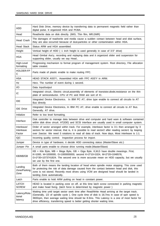| <b>HDD</b>                          | Hard Disk Drive, memory device by transferring data to permanent magnetic field rather than<br>digital pulse. It organized HDA and PCBA.                                                                                                                                                                                                                                       |
|-------------------------------------|--------------------------------------------------------------------------------------------------------------------------------------------------------------------------------------------------------------------------------------------------------------------------------------------------------------------------------------------------------------------------------|
| Head                                | Read/write data on disk directly. (MIG, Thin film, MR, GMR)                                                                                                                                                                                                                                                                                                                    |
| <b>Head Crash</b>                   | The damages of read/write and media cause a sudden contact between head and disk surface,<br>they are also occurred because of dust, particles or other contamination within HDA.                                                                                                                                                                                              |
| <b>Head Stack</b>                   | Status ARM and HGA assembled.                                                                                                                                                                                                                                                                                                                                                  |
| Height                              | Vertical height of HDD (1 inch height is used generally in case of 3.5" drive)                                                                                                                                                                                                                                                                                                 |
| <b>HGA</b>                          | Head Gimbal Ass'y, recording and replaying data and it organized slider and suspension for<br>supporting slider, usually we say Head                                                                                                                                                                                                                                           |
| High-Level<br>formatting            | Progressing mechanism to format program of management system. Root directory, File allocation<br>table created.                                                                                                                                                                                                                                                                |
| HOLDER-FP<br>С                      | Parts made of plastic enable to make routing FPC.                                                                                                                                                                                                                                                                                                                              |
| <b>HSA</b>                          | HEAD STACK ASS'Y,. Assembled HGA with FPC ASS'Y in ARM.                                                                                                                                                                                                                                                                                                                        |
| Hz                                  | Herz. The number of event during 1 second.                                                                                                                                                                                                                                                                                                                                     |
| I/O                                 | Data Input/output                                                                                                                                                                                                                                                                                                                                                              |
| IC                                  | Integrated circuit Electric circuit, assembly of elements of transistor, diode, resistance on the thin<br>plate of semiconductor. CPU of PC and RAM are sort of IC.                                                                                                                                                                                                            |
| <b>IDE</b>                          | Integrated Device Electronics. In IBM PC AT, drive type enable to connect all circuits to AT<br>Bus directly                                                                                                                                                                                                                                                                   |
| <b>IDE</b> Drive                    | Integrated Device Electronics, In IBM PC AT, drive enable to connect all circuits to AT Bus.<br>Generally, AT drive.                                                                                                                                                                                                                                                           |
| Initialize                          | Refer to low level formatting.                                                                                                                                                                                                                                                                                                                                                 |
| Interface                           | Disk controller to manage data between drive and computer and hard ware & software contained<br>within disk drive circuit. AT(IDE) and SCSI interface are usually used in small computer system.                                                                                                                                                                               |
| Interleave/<br>Interleave<br>Factor | Order of sector arranged within track. For example, interleave factor is 3:1 then arranged by 3<br>sectors for sector interval, that is, it is possible to read sector2 after reading sector1 by leaping<br>over 2sector. We need 3 rotations to read all data of track. Now days, Most interleave is 1:1.                                                                     |
| IQC                                 | Incoming quality control. Inspection process for import.                                                                                                                                                                                                                                                                                                                       |
| Jumper                              | Device in type of hardware, it decide HDD connecting status (Master/Slave etc.)                                                                                                                                                                                                                                                                                                |
| Jumper Pin                          | A small parts enable to choose drive running mode.(Master/Slave)                                                                                                                                                                                                                                                                                                               |
| KB/MB/GB                            | $KB =$ Kilo Byte, MB = Mega Byte, GB = Giga Byte. K, M, G have double meanings. First,<br>K=1000, M=1000000, G=1000000000, second K=2^10=1024, M=2^20=1048576,<br>G=2^30=1073741824. The second one is more accurate mean on HDD capacity, but we usually<br>we use by the first one.                                                                                          |
| Landing<br>Zone/Parking<br>Zone     | Both of them means the landing location of head when spindle motor stopping. This zone used<br>for protecting the risk of data damage caused from the contact between head and disk, this<br>zone is not stored. Recently most drives using VCM are designed head should be landed in<br>landing Zone automatically.                                                           |
| Latch                               | Parts enable to hold ARM putting on head in constant power.                                                                                                                                                                                                                                                                                                                    |
| LATCH<br><b>SCREW</b>               | HEAD is located in parking zone on off, at this time latch screw connected in parking magnetic<br>and make head fixing. (latch force is determined by magnetic power)                                                                                                                                                                                                          |
| Latency/Rota<br>tional<br>latency   | Waiting time until target sector seek time after Read/Write Head arriving at the target track.<br>(Generally, 1/2 of spindle cycle). One cycle time of disk is 16.7ms in case of spin speed is<br>3600rpm, then average waiting time should be 8.3ms. This Latency is a one of most factor for<br>drive efficiency, transferring speed is better getting shorter waiting time. |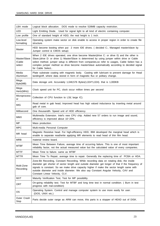| LBA mode                         | Logical block allocation. DOS mode to resolve 528MB capacity restriction.                                                                                                                                                                                                                                                                                                                                             |
|----------------------------------|-----------------------------------------------------------------------------------------------------------------------------------------------------------------------------------------------------------------------------------------------------------------------------------------------------------------------------------------------------------------------------------------------------------------------|
| <b>LED</b>                       | Light Emitting Diode. Used for signal light to all kind of electric containing computer.                                                                                                                                                                                                                                                                                                                              |
| Low profile                      | One of standard height of HDD, the real height is 1 inch.                                                                                                                                                                                                                                                                                                                                                             |
| Low-level<br>formatting          | Operating system make sector on disk enable to access in proper region in order to create file<br>structure.                                                                                                                                                                                                                                                                                                          |
| Master                           | HDD become booting when put 2 more IDE drives. ( decided C:, Managed master/slave by<br>Jumper control & CMOS setup)                                                                                                                                                                                                                                                                                                  |
| Master/Slave<br>/Cable<br>select | When 2 IDE drives operated, one drive become Master(drive C: or drive 0) and the other is<br>Slave.(drive D: or drive 1) Master/Slave is determined by using jumper within drive or Cable<br>select method. jumper setup is different from companies, so refer to usages, Cable Select has a<br>complex jumper method so drive become master/slave automatically according to decided signal<br>for Cable Select      |
| Media<br>Aluminium               | Plate substrate coating with magnetic body. Casting with lubricant to prevent damage for Head<br>landing/off, where data stored in form of magnetic flux or politary change.                                                                                                                                                                                                                                          |
| Mega<br>Byte(MB)                 | Data storage unit. Accurately 1,048,576 Bytes(1,024*1,024). that is 1,000KB                                                                                                                                                                                                                                                                                                                                           |
| Mega<br>Hertz(MHz)               | Clock speed unit for PC, clock occur million times per second                                                                                                                                                                                                                                                                                                                                                         |
| Microprocess<br>or               | Collection of CPU function to LSI(large IC).                                                                                                                                                                                                                                                                                                                                                                          |
| <b>MIG</b>                       | Read metal in gab head, Improved head has high valued inductance by inserting metal around<br>gab of core.                                                                                                                                                                                                                                                                                                            |
| Millisecond                      | One thousandth. Speed unit of HDD efficiency.                                                                                                                                                                                                                                                                                                                                                                         |
|                                  |                                                                                                                                                                                                                                                                                                                                                                                                                       |
| <b>MMX</b>                       | Multimedia Extension. Intel's new CPU chip. Added new 57 orders to run image and sound,<br>efficiency is improved about 10~20%.                                                                                                                                                                                                                                                                                       |
| MP                               | Mass production.                                                                                                                                                                                                                                                                                                                                                                                                      |
| <b>MPC</b>                       | Multi-media Personal Computer                                                                                                                                                                                                                                                                                                                                                                                         |
| MR head                          | Magnetic Resistive head. For high-efficiency HDD, IBM developed the marginal head which is<br>enable to separate read/write applying MR elements to read head of thin film head.                                                                                                                                                                                                                                      |
| <b>MRB</b>                       | material review board.                                                                                                                                                                                                                                                                                                                                                                                                |
| MTBF                             | Mean Time Between Failure, average time of occurring failure. This is one of most important<br>reliability factor, not the actual measured value but the calculated value of every companies.                                                                                                                                                                                                                         |
| <b>MTTF</b>                      | Mean Time to failure. same as MTBF                                                                                                                                                                                                                                                                                                                                                                                    |
| <b>MTTR</b>                      | Mean Time To Repair, average time to repair. Generally the replacing time of PCBA or HDA.                                                                                                                                                                                                                                                                                                                             |
| Multi-Zone<br>Recording          | Zone-Bit Recording, Constant Recording. While recording data on rotating disk, the inside<br>diameter get shorter of sector length and outside diameter get longer of that if the frequency of<br>signals is constant. So we make drive capacity higher if make the sector length same with<br>outside diameter and inside diameter. We also say Constant Angular Velocity, CAV and<br>Constant Linear Velocity, CLV. |
| <b>MVT</b>                       | Maturity Verification Test, Test for MP possibility.                                                                                                                                                                                                                                                                                                                                                                  |
| ORT                              | On-going reliability test. Test for MTBF and long time test in normal condition. ( Burn in test<br>progress with mal-condition)                                                                                                                                                                                                                                                                                       |
| OS                               | Operating System. Control and manage computer system to use more easily for user.<br>(DOS, UNIX etc.)                                                                                                                                                                                                                                                                                                                 |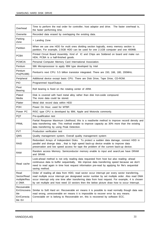| Overhead                                                      | Time to perform the real order for controller, host adaptor and drive. The faster overhead is,<br>the faster performing time.                                                                                                                                                                                                                                                                          |
|---------------------------------------------------------------|--------------------------------------------------------------------------------------------------------------------------------------------------------------------------------------------------------------------------------------------------------------------------------------------------------------------------------------------------------------------------------------------------------|
| Overwrite                                                     | Recorded data erased by overlapping the existing data.                                                                                                                                                                                                                                                                                                                                                 |
| Parking<br>Zone                                               | = Landing Zone                                                                                                                                                                                                                                                                                                                                                                                         |
| Partition                                                     | When we use one HDD for multi ones dividing section logically, every memory section is<br>partition, For example, 2.5GB HDD can be used for one 2.1GB computer and one 400MB.                                                                                                                                                                                                                          |
| <b>PCBA</b>                                                   | Printed Circuit Board Assembly. Kind of IC and Chips are Soldered on board and make run<br>HDA, PCBA is a half-finished goods.                                                                                                                                                                                                                                                                         |
| <b>PCMCIA</b>                                                 | Personal Computer Memory Card International Association.                                                                                                                                                                                                                                                                                                                                               |
| Pentium                                                       | 586 Microprocessor to apply IBM type developed by Intel                                                                                                                                                                                                                                                                                                                                                |
| Pentium<br>Pro(P6,686)                                        | Pentium's next CPU. 5.5 billion transistor integrated. There are 150, 166, 180, 200MHz.                                                                                                                                                                                                                                                                                                                |
| Peripheral                                                    | Additional device except basic CPU. There are Disk Drive, Tape Drive, CD-ROM.                                                                                                                                                                                                                                                                                                                          |
| <b>PIO</b>                                                    | Programmed Input/Output.                                                                                                                                                                                                                                                                                                                                                                               |
| Pivot<br>Bearing                                              | Roll bearing is fixed on the rotating center of ARM.                                                                                                                                                                                                                                                                                                                                                   |
| Plated<br>Media                                               | Disk is covered with hard metal alloy rather than disk Iron-oxide compound.<br>The more data could be stored.                                                                                                                                                                                                                                                                                          |
| Platter                                                       | Metal disk record data within HDD                                                                                                                                                                                                                                                                                                                                                                      |
| <b>POH</b>                                                    | Power On Hour, used for MTBF.                                                                                                                                                                                                                                                                                                                                                                          |
| Power PC                                                      | RISC type CPU is developed by IBM, Apple and Motorola commonly.                                                                                                                                                                                                                                                                                                                                        |
| <b>PQT</b>                                                    | Pre-qualification test                                                                                                                                                                                                                                                                                                                                                                                 |
| PRML                                                          | Partial Response Maximum Likelihood, this is a read/write method to improve recordi density and<br>data transferring rate. This method enable to improve capacity as 30% more than the existing<br>data transferring by using Peak Detection.                                                                                                                                                          |
| <b>PVT</b>                                                    | Production verification test                                                                                                                                                                                                                                                                                                                                                                           |
| QMS                                                           | Quality management system. Overall quality management system                                                                                                                                                                                                                                                                                                                                           |
| <b>RAID</b>                                                   | Redundant Arrays of Independent Disks. To protect a sudden data damage, connect HDD in<br>parallel and diverge data, that is high speed back-up device enable to improve data<br>preservation and low speed access for tape the problem of the current back-up device.                                                                                                                                 |
| <b>RAM</b>                                                    | Random access Memory. Semiconductor memory enable to input and search, we have DRAM<br>and SRAM.                                                                                                                                                                                                                                                                                                       |
| Read cache                                                    | Look-ahead method is not only reading data requested from host but also reading- ahead<br>continuous data to buffer sequentially, We improve data transferring speed because we don't<br>need to read again in time host request information pre-read by applying for file's sequential<br>saving method.                                                                                              |
| Read<br>Sector/Read<br>multiple/Rea<br>d DMA                  | Order of reading all data from HDD, read sector occur interrupt per every sector transferring,<br>read multiple occur interrupt per designated sector number by set multiple order. Also read DMA<br>occur interrupt only one time after transferring data from host request. For example, 4 is chosen<br>by set multiple and host need 10 sectors then the below picture draw how to occur Interrupt. |
| Recoverable<br>Err/Uncovera<br>ble<br>Err/Correcta<br>ble Err | Similar to Soft Hard err. Recoverable err means it is possible to read normally though data was<br>read wrong, unrecoverable err means it is impossible to recover error by any means.<br>Correctable err is belong to Recoverable err, this is recovered by software ECC.                                                                                                                             |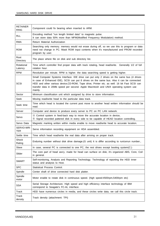| <b>RETAINER</b><br><b>RING</b> | Component could fix bearing when inserted to ARM.                                                                                                                                                                                                                                                                                                                                            |
|--------------------------------|----------------------------------------------------------------------------------------------------------------------------------------------------------------------------------------------------------------------------------------------------------------------------------------------------------------------------------------------------------------------------------------------|
| <b>RLL</b>                     | Encoding method "run length limited data" to magnetic pulse.<br>It can store data 50% more than MFM(Modified Frequency Modulation) method.                                                                                                                                                                                                                                                   |
| <b>RMA</b>                     | Return Material Authorization                                                                                                                                                                                                                                                                                                                                                                |
| <b>ROM</b>                     | Searching only memory. memory would not erase during off, so we use this to program or data<br>need not change in PC. Mask ROM input contents when it's manufactured and PROM recorded<br>program by user.                                                                                                                                                                                   |
| Root<br>Directory              | The place where file on disk and sub directory list.                                                                                                                                                                                                                                                                                                                                         |
| Rotational<br>Latency          | Time which controller find proper data with track rotating, head read/write. Generally 1/2 of full<br>rotation hour.                                                                                                                                                                                                                                                                         |
| <b>RPM</b>                     | Revolution per minute. RPM is higher. the data searching speed is getting higher.                                                                                                                                                                                                                                                                                                            |
| SCSI                           | Small Computer Systems Interface. IDE drive can put only 2 drives on the same bus (4 drives<br>in case of Enhanced IDE), SCSI can put 8 drives on the same bus. Also it can be connected<br>HDD and other various device, CD-ROM, Tape drive, Printer etc. as well. 16 bit Fast SCSI can<br>transfer data in 20Mb speed per second. Apple Macintosh and UNIX operating system use<br>mainly. |
| Sector                         | Minimum classification unit which assigned by drive to store information.                                                                                                                                                                                                                                                                                                                    |
| Seek                           | Moving read/write head to the particular data track.                                                                                                                                                                                                                                                                                                                                         |
| Seek time                      | Time which head is located the current post move to another head written information should be<br>read.                                                                                                                                                                                                                                                                                      |
| Server                         | Computer and device to produce every server to PC on PC LAN network.                                                                                                                                                                                                                                                                                                                         |
| Servo                          | 3 Control system in feed-back way to move the accurate location in device,<br><b>(b)</b> Signal recorded pattered disk in every side to be capable of HEAD location controlling.                                                                                                                                                                                                             |
| Servo Data                     | Magnetic marking written within media enable to move read/write head to accurate location.                                                                                                                                                                                                                                                                                                   |
| SERVO-WRI<br><b>TER</b>        | Servo information recording equipment on HDA assembled.                                                                                                                                                                                                                                                                                                                                      |
| Settle time                    | Time which head read/write the real data after arriving on proper track.                                                                                                                                                                                                                                                                                                                     |
| Shock<br>Rating                | Enduring number without disk drive damage. (G unit) It is differ according to run/unrun number.,                                                                                                                                                                                                                                                                                             |
| Slave                          | In case, several PC is connected to one PC, the rest drives except booting system(C:)                                                                                                                                                                                                                                                                                                        |
| Slider                         | The core part of head ass'y, made for head can surface on disk, it's organized ABS, Core, Coil<br>in general.                                                                                                                                                                                                                                                                                |
| <b>SMART</b>                   | Self-monitoring, Analysis and Reporting Technology. Technology of reporting the HDD inner<br>status and analysis to Host.                                                                                                                                                                                                                                                                    |
| <b>SPC</b>                     | Statistical Process Control.                                                                                                                                                                                                                                                                                                                                                                 |
| Spindle                        | Center shaft of drive connected hard disk platter.                                                                                                                                                                                                                                                                                                                                           |
| Spindle<br>motor               | Motor enable to rotate disk in continuous speed. (high speed: 4500rpm, 5400rpm etc)                                                                                                                                                                                                                                                                                                          |
| <b>SSA</b>                     | Serial Storage Architecture. High speed and high efficiency interface technology of IBM<br>correspond to Seagate's FC-AL interface.                                                                                                                                                                                                                                                          |
| Track                          | HDD have numerous circles in media, and these circles write data, we call this circle track.                                                                                                                                                                                                                                                                                                 |
| Track<br>density               | Track density (attachment: TPI)                                                                                                                                                                                                                                                                                                                                                              |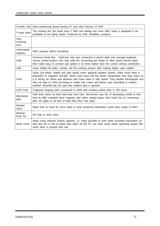| Transfer rate                   | Data transferring speed among PC and other devices of HDD.                                                                                                                                                                                                                                                                                                                                                                                                 |
|---------------------------------|------------------------------------------------------------------------------------------------------------------------------------------------------------------------------------------------------------------------------------------------------------------------------------------------------------------------------------------------------------------------------------------------------------------------------------------------------------|
| Tri-pad head                    | The existing thin film head have 2 ABS and adding one more ABS, head is designed to be<br>profitable to low flying height. Produced by SAE, ReadRite company.                                                                                                                                                                                                                                                                                              |
| Ultra<br>ATA/Fast<br><b>ATA</b> |                                                                                                                                                                                                                                                                                                                                                                                                                                                            |
| Unformatted<br>capacity         | HDD capacity before formatting.                                                                                                                                                                                                                                                                                                                                                                                                                            |
| <b>USB</b>                      | Universal Serial Bus. Particular chip was connected in period plate and manage keyboard,<br>mouse, printer, modem, this chip unify the connecting pot shape of other device period plate,<br>then make easy to connect and speed is 10 times higher than the current vertical connection.                                                                                                                                                                  |
| <b>VAR</b>                      | Value Added Re-seller. Vendor sell the existing product after making higher value added.                                                                                                                                                                                                                                                                                                                                                                   |
| <b>VCM</b>                      | Voice Coil Motor: Stable and high speed motor applying speaker system, make move head in<br>proportion to magnetic strength. Motor used voice coil has fewer components than step motor so<br>it is strong for stress and abrasion and move head in high speed. They divided Rectangular and<br>Flat coil type of VCM according to shape and Linear and Rotary type according to rotation<br>method. Recently flat coil type and rotation type is general. |
| <b>VCM COIL</b>                 | Trapezoid shaping parts connected to ARM with winding coated write in 250 times.                                                                                                                                                                                                                                                                                                                                                                           |
| Winchester<br><b>Disk</b>       | Disk drive same as fixed Disk and hard Disk. Winchester was the of developing model at that<br>time by IBM, establish fixed magnetic disk within airtight space then head rise on connecting<br>disk, we apply to all kind of hard disk drive now days.                                                                                                                                                                                                    |
| Window<br><b>Clock</b>          | Make hole so head for servo write to write locational information could enter inside of HDD.                                                                                                                                                                                                                                                                                                                                                               |
| Window<br>Pusk Pin              | Pin hole to enter HDA.                                                                                                                                                                                                                                                                                                                                                                                                                                     |
| Write cache                     | Write cache improve system capacity, i.e. make possible to work while recording information on<br>disk and this is risk to loose data when off but PC use write cache within operating system like<br>smart drive to prevent that risk.                                                                                                                                                                                                                    |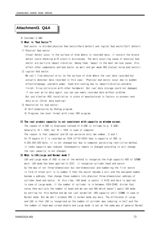## Attachment3. Q&A

#### ※ Customer's Q&A

#### 1) What is "Bad Sector"?

Bad sector is divided physical Bad sector (Hard defect) and logical Bad sector (Soft defect). 1) Physical Bad sector

Visual defect occur in the surface of disk where is recorded data, it contain the minute defect could checking with electric microscope. The main occurring cause of physical bad sector are particle, impact, vibration. Among them, impact is the most serious cause, this affect other components and bad sector as well and get weak HDD status(noise, bad sector).

#### 2 Logical Bad sector

We can't find physical error on the surface of disk where the real data recorded but actually abnormal data recorded in this case. Physical bad sector occur due to sudden effect(stoppage, unstable power, head mis-running due to impact/vibration,unstable finish, Virus, colloision with other hardware). But real data storage could not damaged, if you over write data again, you can use newly recorded data without problem. But you'd better HDD installation in state of manufactured in factory to prevent next data error. (After data back-up)

- 3 Resolution for bad sector:
	- a Self-examination by Shdiag program.

(b) Progress low level format with clear HDD program.

#### 2) The real product capacity is not consistent with capacity on window screen.

The reason of 4.3GB is displayed instead of 4.0GB is follows. (e.g. 4.3GB) Generally  $1K = 1000$ , but  $1K = 1024$  in case of computer. The reason is that computer and OS can perceive only two number, 0 and 1. So 10 square of 2 is recorded as 1024. (2^10=1024) User's capacity of HDD is 4,300,000,000 Byte, it is not changed but due to computer perceiving restriction method. it looks capacity was reduced. Consequently remark is changed according to unit change. the real capacity is not changed.

## 3) What is LBA, Large and Normal mode?

LBA and Large mode of HDD is one of the method to recognize the high capacity HDD of 528MB more. LBA mode has been applied to SCSI, it recognize cylinder, head and sector by the way of not three-dimensional but one-dimensional and numbering the first sector in form of block unit is to number 0 then the sector become a unit and the assigned number become a address, then change those numbers into physical three-dimensional address of cylinder, head and sector. At this time, LBA mode is useful if BIOS and Hard is applied. In case of Large mode, if the number of cylinder is in between 1024~2048, divide that value then multiple the number of head and we can use HDD which doesn't apply LBA mode by setting for this method and we can just establish HDD capacity until 528MB in case of Normal mode. But we don't produce HDD in normal mode any more. The difference of Large and LBA is that LBA is recognized as the number of cylinder was reducing in half and the the number of head was raised double and Large mode is set as the same way of general Normal